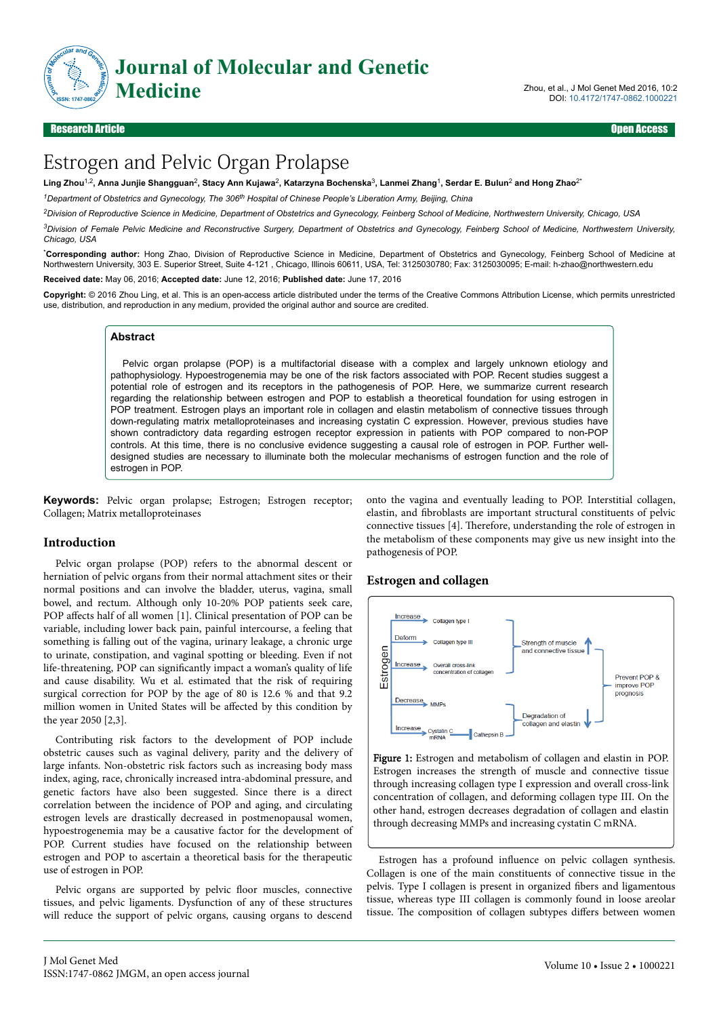

DOI: 10.4172/1747-0862.1000221

# Estrogen and Pelvic Organ Prolapse

 $L$ ing Zhou $^{1,2}$ , Anna Junjie Shangguan<sup>2</sup>, Stacy Ann Kujawa<sup>2</sup>, Katarzyna Bochenska $^3$ , Lanmei Zhang<sup>1</sup>, Serdar E. Bulun $^2$  and Hong Zhao $^{2}$ 

*<sup>1</sup>Department of Obstetrics and Gynecology, The 306th Hospital of Chinese People's Liberation Army, Beijing, China*

*<sup>2</sup>Division of Reproductive Science in Medicine, Department of Obstetrics and Gynecology, Feinberg School of Medicine, Northwestern University, Chicago, USA*

*<sup>3</sup>Division of Female Pelvic Medicine and Reconstructive Surgery, Department of Obstetrics and Gynecology, Feinberg School of Medicine, Northwestern University, Chicago, USA*

\***Corresponding author:** Hong Zhao, Division of Reproductive Science in Medicine, Department of Obstetrics and Gynecology, Feinberg School of Medicine at Northwestern University, 303 E. Superior Street, Suite 4-121 , Chicago, Illinois 60611, USA, Tel: 3125030780; Fax: 3125030095; E-mail: h-zhao@northwestern.edu

**Received date:** May 06, 2016; **Accepted date:** June 12, 2016; **Published date:** June 17, 2016

**Copyright:** © 2016 Zhou Ling, et al. This is an open-access article distributed under the terms of the Creative Commons Attribution License, which permits unrestricted use, distribution, and reproduction in any medium, provided the original author and source are credited.

#### **Abstract**

Pelvic organ prolapse (POP) is a multifactorial disease with a complex and largely unknown etiology and pathophysiology. Hypoestrogenemia may be one of the risk factors associated with POP. Recent studies suggest a potential role of estrogen and its receptors in the pathogenesis of POP. Here, we summarize current research regarding the relationship between estrogen and POP to establish a theoretical foundation for using estrogen in POP treatment. Estrogen plays an important role in collagen and elastin metabolism of connective tissues through down-regulating matrix metalloproteinases and increasing cystatin C expression. However, previous studies have shown contradictory data regarding estrogen receptor expression in patients with POP compared to non-POP controls. At this time, there is no conclusive evidence suggesting a causal role of estrogen in POP. Further welldesigned studies are necessary to illuminate both the molecular mechanisms of estrogen function and the role of estrogen in POP.

**Keywords:** Pelvic organ prolapse; Estrogen; Estrogen receptor; Collagen; Matrix metalloproteinases

#### **Introduction**

Pelvic organ prolapse (POP) refers to the abnormal descent or herniation of pelvic organs from their normal attachment sites or their normal positions and can involve the bladder, uterus, vagina, small bowel, and rectum. Although only 10-20% POP patients seek care, POP affects half of all women [1]. Clinical presentation of POP can be variable, including lower back pain, painful intercourse, a feeling that something is falling out of the vagina, urinary leakage, a chronic urge to urinate, constipation, and vaginal spotting or bleeding. Even if not life-threatening, POP can significantly impact a woman's quality of life and cause disability. Wu et al. estimated that the risk of requiring surgical correction for POP by the age of 80 is 12.6 % and that 9.2 million women in United States will be affected by this condition by the year 2050 [2,3].

Contributing risk factors to the development of POP include obstetric causes such as vaginal delivery, parity and the delivery of large infants. Non-obstetric risk factors such as increasing body mass index, aging, race, chronically increased intra-abdominal pressure, and genetic factors have also been suggested. Since there is a direct correlation between the incidence of POP and aging, and circulating estrogen levels are drastically decreased in postmenopausal women, hypoestrogenemia may be a causative factor for the development of POP. Current studies have focused on the relationship between estrogen and POP to ascertain a theoretical basis for the therapeutic use of estrogen in POP.

Pelvic organs are supported by pelvic floor muscles, connective tissues, and pelvic ligaments. Dysfunction of any of these structures will reduce the support of pelvic organs, causing organs to descend onto the vagina and eventually leading to POP. Interstitial collagen, elastin, and fibroblasts are important structural constituents of pelvic connective tissues [4]. Нerefore, understanding the role of estrogen in the metabolism of these components may give us new insight into the pathogenesis of POP.

## **Estrogen and collagen**



Figure 1: Estrogen and metabolism of collagen and elastin in POP. Estrogen increases the strength of muscle and connective tissue through increasing collagen type I expression and overall cross-link concentration of collagen, and deforming collagen type III. On the other hand, estrogen decreases degradation of collagen and elastin through decreasing MMPs and increasing cystatin C mRNA.

Estrogen has a profound influence on pelvic collagen synthesis. Collagen is one of the main constituents of connective tissue in the pelvis. Type I collagen is present in organized fibers and ligamentous tissue, whereas type III collagen is commonly found in loose areolar tissue. The composition of collagen subtypes differs between women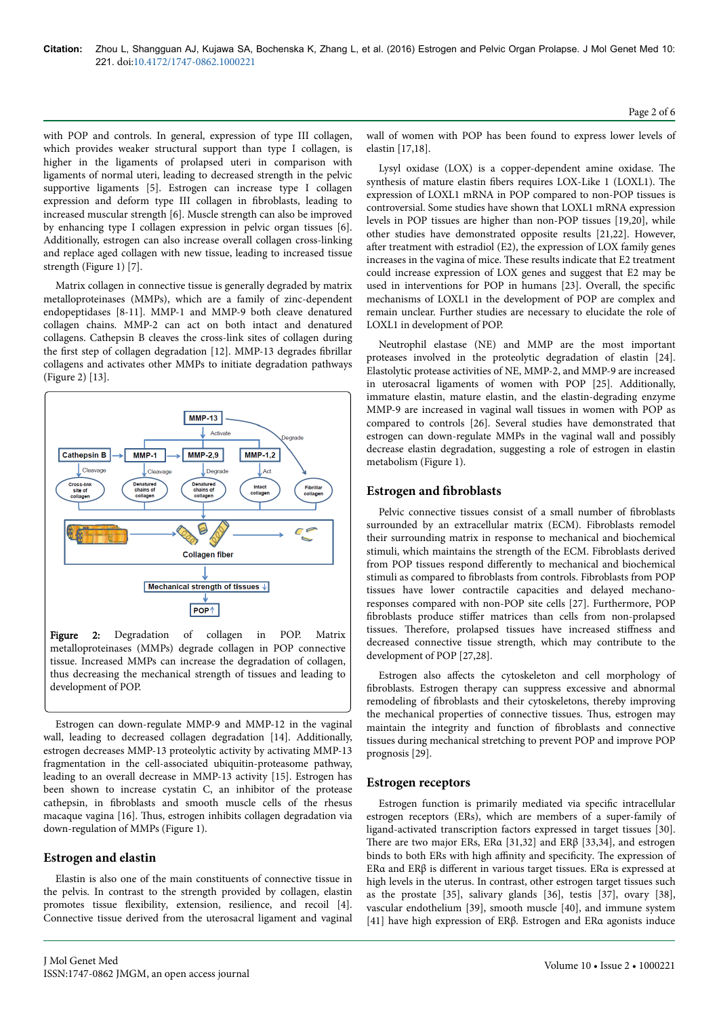with POP and controls. In general, expression of type III collagen, which provides weaker structural support than type I collagen, is higher in the ligaments of prolapsed uteri in comparison with ligaments of normal uteri, leading to decreased strength in the pelvic supportive ligaments [5]. Estrogen can increase type I collagen expression and deform type III collagen in fibroblasts, leading to increased muscular strength [6]. Muscle strength can also be improved by enhancing type I collagen expression in pelvic organ tissues [6]. Additionally, estrogen can also increase overall collagen cross-linking and replace aged collagen with new tissue, leading to increased tissue strength (Figure 1) [7].

Matrix collagen in connective tissue is generally degraded by matrix metalloproteinases (MMPs), which are a family of zinc-dependent endopeptidases [8-11]. MMP-1 and MMP-9 both cleave denatured collagen chains. MMP-2 can act on both intact and denatured collagens. Cathepsin B cleaves the cross-link sites of collagen during the first step of collagen degradation [12]. MMP-13 degrades fibrillar collagens and activates other MMPs to initiate degradation pathways (Figure 2) [13].



Figure 2: Degradation of collagen in POP. Matrix metalloproteinases (MMPs) degrade collagen in POP connective tissue. Increased MMPs can increase the degradation of collagen, thus decreasing the mechanical strength of tissues and leading to development of POP.

Estrogen can down-regulate MMP-9 and MMP-12 in the vaginal wall, leading to decreased collagen degradation [14]. Additionally, estrogen decreases MMP-13 proteolytic activity by activating MMP-13 fragmentation in the cell-associated ubiquitin-proteasome pathway, leading to an overall decrease in MMP-13 activity [15]. Estrogen has been shown to increase cystatin C, an inhibitor of the protease cathepsin, in fibroblasts and smooth muscle cells of the rhesus macaque vagina [16]. Нus, estrogen inhibits collagen degradation via down-regulation of MMPs (Figure 1).

### **Estrogen and elastin**

Elastin is also one of the main constituents of connective tissue in the pelvis. In contrast to the strength provided by collagen, elastin promotes tissue flexibility, extension, resilience, and recoil [4]. Connective tissue derived from the uterosacral ligament and vaginal wall of women with POP has been found to express lower levels of elastin [17,18].

Lysyl oxidase (LOX) is a copper-dependent amine oxidase. Нe synthesis of mature elastin fibers requires LOX-Like 1 (LOXL1). Нe expression of LOXL1 mRNA in POP compared to non-POP tissues is controversial. Some studies have shown that LOXL1 mRNA expression levels in POP tissues are higher than non-POP tissues [19,20], while other studies have demonstrated opposite results [21,22]. However, after treatment with estradiol (E2), the expression of LOX family genes increases in the vagina of mice. Нese results indicate that E2 treatment could increase expression of LOX genes and suggest that E2 may be used in interventions for POP in humans [23]. Overall, the specific mechanisms of LOXL1 in the development of POP are complex and remain unclear. Further studies are necessary to elucidate the role of LOXL1 in development of POP.

Neutrophil elastase (NE) and MMP are the most important proteases involved in the proteolytic degradation of elastin [24]. Elastolytic protease activities of NE, MMP-2, and MMP-9 are increased in uterosacral ligaments of women with POP [25]. Additionally, immature elastin, mature elastin, and the elastin-degrading enzyme MMP-9 are increased in vaginal wall tissues in women with POP as compared to controls [26]. Several studies have demonstrated that estrogen can down-regulate MMPs in the vaginal wall and possibly decrease elastin degradation, suggesting a role of estrogen in elastin metabolism (Figure 1).

### **Estrogen and fibroblasts**

Pelvic connective tissues consist of a small number of fibroblasts surrounded by an extracellular matrix (ECM). Fibroblasts remodel their surrounding matrix in response to mechanical and biochemical stimuli, which maintains the strength of the ECM. Fibroblasts derived from POP tissues respond differently to mechanical and biochemical stimuli as compared to fibroblasts from controls. Fibroblasts from POP tissues have lower contractile capacities and delayed mechanoresponses compared with non-POP site cells [27]. Furthermore, POP fibroblasts produce stiffer matrices than cells from non-prolapsed tissues. Therefore, prolapsed tissues have increased stiffness and decreased connective tissue strength, which may contribute to the development of POP [27,28].

Estrogen also affects the cytoskeleton and cell morphology of fibroblasts. Estrogen therapy can suppress excessive and abnormal remodeling of fibroblasts and their cytoskeletons, thereby improving the mechanical properties of connective tissues. Нus, estrogen may maintain the integrity and function of fibroblasts and connective tissues during mechanical stretching to prevent POP and improve POP prognosis [29].

### **Estrogen receptors**

Estrogen function is primarily mediated via specific intracellular estrogen receptors (ERs), which are members of a super-family of ligand-activated transcription factors expressed in target tissues [30]. Нere are two major ERs, ERα [31,32] and ERβ [33,34], and estrogen binds to both ERs with high affinity and specificity. The expression of ERα and ERβ is different in various target tissues. ERα is expressed at high levels in the uterus. In contrast, other estrogen target tissues such as the prostate [35], salivary glands [36], testis [37], ovary [38], vascular endothelium [39], smooth muscle [40], and immune system [41] have high expression of ERβ. Estrogen and ERα agonists induce

Page 2 of 6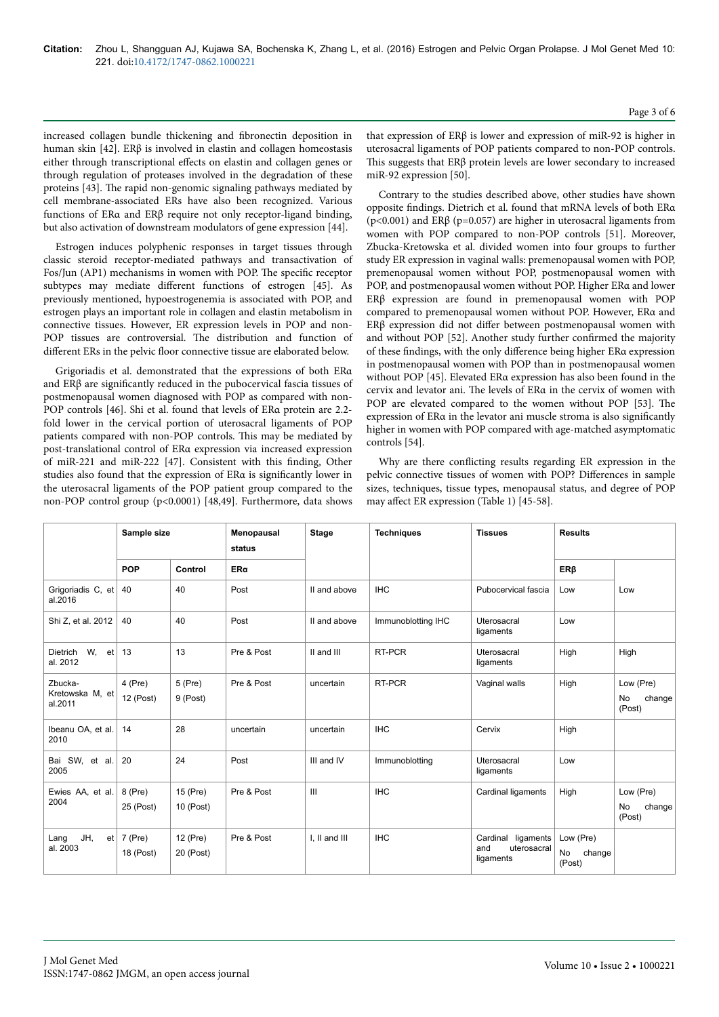increased collagen bundle thickening and fibronectin deposition in human skin [42]. ERβ is involved in elastin and collagen homeostasis either through transcriptional effects on elastin and collagen genes or through regulation of proteases involved in the degradation of these proteins [43]. Нe rapid non-genomic signaling pathways mediated by cell membrane-associated ERs have also been recognized. Various functions of ERα and ERβ require not only receptor-ligand binding, but also activation of downstream modulators of gene expression [44].

Estrogen induces polyphenic responses in target tissues through classic steroid receptor-mediated pathways and transactivation of Fos/Jun (AP1) mechanisms in women with POP. Нe specific receptor subtypes may mediate different functions of estrogen [45]. As previously mentioned, hypoestrogenemia is associated with POP, and estrogen plays an important role in collagen and elastin metabolism in connective tissues. However, ER expression levels in POP and non-POP tissues are controversial. The distribution and function of different ERs in the pelvic floor connective tissue are elaborated below.

Grigoriadis et al. demonstrated that the expressions of both ERα and ERβ are significantly reduced in the pubocervical fascia tissues of postmenopausal women diagnosed with POP as compared with non-POP controls [46]. Shi et al. found that levels of ERα protein are 2.2 fold lower in the cervical portion of uterosacral ligaments of POP patients compared with non-POP controls. Нis may be mediated by post-translational control of ERα expression via increased expression of miR-221 and miR-222 [47]. Consistent with this finding, Other studies also found that the expression of ERα is significantly lower in the uterosacral ligaments of the POP patient group compared to the non-POP control group (p<0.0001) [48,49]. Furthermore, data shows

that expression of ERβ is lower and expression of miR-92 is higher in uterosacral ligaments of POP patients compared to non-POP controls. Нis suggests that ERβ protein levels are lower secondary to increased miR-92 expression [50].

Contrary to the studies described above, other studies have shown opposite findings. Dietrich et al. found that mRNA levels of both ERα ( $p<0.001$ ) and ER $\beta$  ( $p=0.057$ ) are higher in uterosacral ligaments from women with POP compared to non-POP controls [51]. Moreover, Zbucka-Kretowska et al. divided women into four groups to further study ER expression in vaginal walls: premenopausal women with POP, premenopausal women without POP, postmenopausal women with POP, and postmenopausal women without POP. Higher ERα and lower ERβ expression are found in premenopausal women with POP compared to premenopausal women without POP. However, ERα and  $ER\beta$  expression did not differ between postmenopausal women with and without POP [52]. Another study further confirmed the majority of these findings, with the only difference being higher ERa expression in postmenopausal women with POP than in postmenopausal women without POP [45]. Elevated ERα expression has also been found in the cervix and levator ani. Нe levels of ERα in the cervix of women with POP are elevated compared to the women without POP [53]. The expression of ERα in the levator ani muscle stroma is also significantly higher in women with POP compared with age-matched asymptomatic controls [54].

Why are there conflicting results regarding ER expression in the pelvic connective tissues of women with POP? Differences in sample sizes, techniques, tissue types, menopausal status, and degree of POP may affect ER expression (Table 1) [45-58].

|                                            | Sample size            |                       | Menopausal<br>status | <b>Stage</b>  | <b>Techniques</b>  | <b>Tissues</b>                                           | <b>Results</b>                      |                                            |
|--------------------------------------------|------------------------|-----------------------|----------------------|---------------|--------------------|----------------------------------------------------------|-------------------------------------|--------------------------------------------|
|                                            | <b>POP</b>             | Control               | $ER\alpha$           |               |                    |                                                          | $ER\beta$                           |                                            |
| Grigoriadis C, et<br>al.2016               | 40                     | 40                    | Post                 | II and above  | <b>IHC</b>         | Pubocervical fascia                                      | Low                                 | Low                                        |
| Shi Z, et al. 2012                         | 40                     | 40                    | Post                 | II and above  | Immunoblotting IHC | Uterosacral<br>ligaments                                 | Low                                 |                                            |
| W.<br>Dietrich<br>al. 2012                 | $et$ 13                | 13                    | Pre & Post           | II and III    | RT-PCR             | Uterosacral<br>ligaments                                 | High                                | High                                       |
| Zbucka-<br>Kretowska M, et<br>al.2011      | $4$ (Pre)<br>12 (Post) | $5$ (Pre)<br>9 (Post) | Pre & Post           | uncertain     | RT-PCR             | Vaginal walls                                            | High                                | Low (Pre)<br><b>No</b><br>change<br>(Post) |
| Ibeanu OA, et al.<br>2010                  | 14                     | 28                    | uncertain            | uncertain     | <b>IHC</b>         | Cervix                                                   | High                                |                                            |
| Bai SW, et al.<br>2005                     | 20                     | 24                    | Post                 | III and IV    | Immunoblotting     | Uterosacral<br>ligaments                                 | Low                                 |                                            |
| Ewies AA, et al.<br>2004                   | 8 (Pre)<br>25 (Post)   | 15 (Pre)<br>10 (Post) | Pre & Post           | Ш             | <b>IHC</b>         | Cardinal ligaments                                       | High                                | Low (Pre)<br>No<br>change<br>(Post)        |
| JH.<br>et <sub>l</sub><br>Lang<br>al. 2003 | 7 (Pre)<br>18 (Post)   | 12 (Pre)<br>20 (Post) | Pre & Post           | I. II and III | <b>IHC</b>         | Cardinal<br>ligaments<br>and<br>uterosacral<br>ligaments | Low (Pre)<br>No<br>change<br>(Post) |                                            |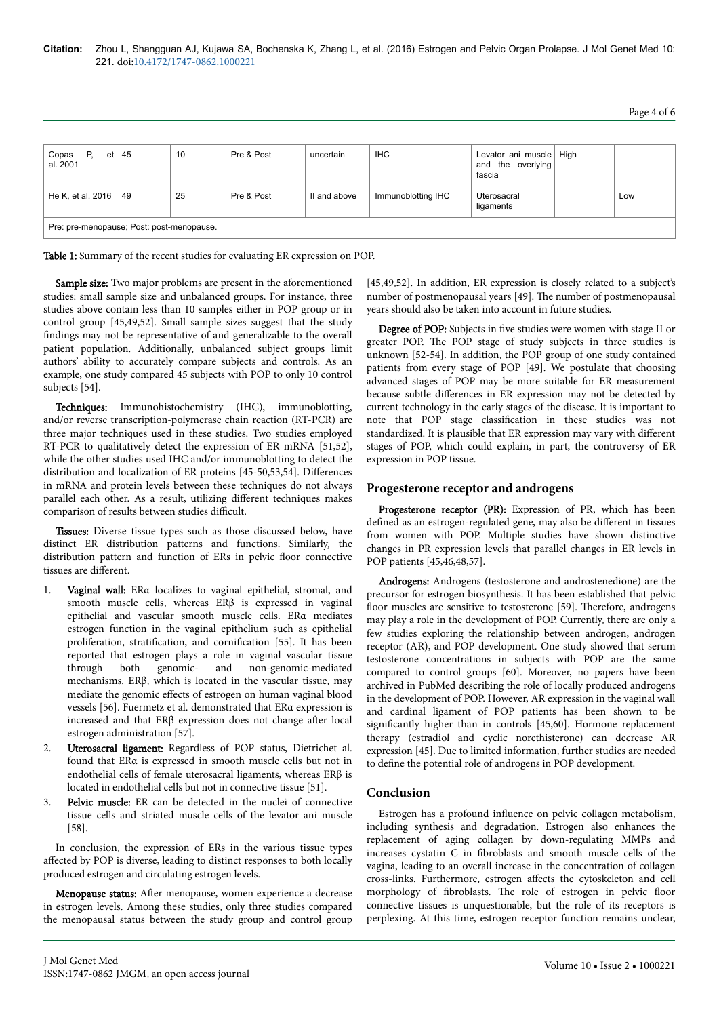| Copas<br>Р.<br>et l<br>al. 2001           | 45 | 10 | Pre & Post | uncertain    | <b>IHC</b>         | Levator ani muscle   High<br>and the overlying<br>fascia |  |     |  |  |
|-------------------------------------------|----|----|------------|--------------|--------------------|----------------------------------------------------------|--|-----|--|--|
| He K, et al. 2016   49                    |    | 25 | Pre & Post | II and above | Immunoblotting IHC | Uterosacral<br>ligaments                                 |  | Low |  |  |
| Pre: pre-menopause; Post: post-menopause. |    |    |            |              |                    |                                                          |  |     |  |  |

Table 1: Summary of the recent studies for evaluating ER expression on POP.

Sample size: Two major problems are present in the aforementioned studies: small sample size and unbalanced groups. For instance, three studies above contain less than 10 samples either in POP group or in control group [45,49,52]. Small sample sizes suggest that the study findings may not be representative of and generalizable to the overall patient population. Additionally, unbalanced subject groups limit authors' ability to accurately compare subjects and controls. As an example, one study compared 45 subjects with POP to only 10 control subjects [54].

Techniques: Immunohistochemistry (IHC), immunoblotting, and/or reverse transcription-polymerase chain reaction (RT-PCR) are three major techniques used in these studies. Two studies employed RT-PCR to qualitatively detect the expression of ER mRNA [51,52], while the other studies used IHC and/or immunoblotting to detect the distribution and localization of ER proteins [45-50,53,54]. Differences in mRNA and protein levels between these techniques do not always parallel each other. As a result, utilizing different techniques makes comparison of results between studies difficult.

Tissues: Diverse tissue types such as those discussed below, have distinct ER distribution patterns and functions. Similarly, the distribution pattern and function of ERs in pelvic floor connective tissues are different.

- Vaginal wall: ERα localizes to vaginal epithelial, stromal, and smooth muscle cells, whereas ERβ is expressed in vaginal epithelial and vascular smooth muscle cells. ERα mediates estrogen function in the vaginal epithelium such as epithelial proliferation, stratification, and cornification [55]. It has been reported that estrogen plays a role in vaginal vascular tissue through both genomic- and non-genomic-mediated mechanisms. ERβ, which is located in the vascular tissue, may mediate the genomic effects of estrogen on human vaginal blood vessels [56]. Fuermetz et al. demonstrated that ERα expression is increased and that  $ER\beta$  expression does not change after local estrogen administration [57].
- 2. Uterosacral ligament: Regardless of POP status, Dietrichet al. found that ERα is expressed in smooth muscle cells but not in endothelial cells of female uterosacral ligaments, whereas ERβ is located in endothelial cells but not in connective tissue [51].
- 3. Pelvic muscle: ER can be detected in the nuclei of connective tissue cells and striated muscle cells of the levator ani muscle [58].

In conclusion, the expression of ERs in the various tissue types affected by POP is diverse, leading to distinct responses to both locally produced estrogen and circulating estrogen levels.

Menopause status: After menopause, women experience a decrease in estrogen levels. Among these studies, only three studies compared the menopausal status between the study group and control group

[45,49,52]. In addition, ER expression is closely related to a subject's number of postmenopausal years [49]. Нe number of postmenopausal years should also be taken into account in future studies.

Degree of POP: Subjects in five studies were women with stage II or greater POP. Нe POP stage of study subjects in three studies is unknown [52-54]. In addition, the POP group of one study contained patients from every stage of POP [49]. We postulate that choosing advanced stages of POP may be more suitable for ER measurement because subtle differences in ER expression may not be detected by current technology in the early stages of the disease. It is important to note that POP stage classification in these studies was not standardized. It is plausible that ER expression may vary with different stages of POP, which could explain, in part, the controversy of ER expression in POP tissue.

### **Progesterone receptor and androgens**

Progesterone receptor (PR): Expression of PR, which has been defined as an estrogen-regulated gene, may also be different in tissues from women with POP. Multiple studies have shown distinctive changes in PR expression levels that parallel changes in ER levels in POP patients [45,46,48,57].

Androgens: Androgens (testosterone and androstenedione) are the precursor for estrogen biosynthesis. It has been established that pelvic floor muscles are sensitive to testosterone [59]. Therefore, androgens may play a role in the development of POP. Currently, there are only a few studies exploring the relationship between androgen, androgen receptor (AR), and POP development. One study showed that serum testosterone concentrations in subjects with POP are the same compared to control groups [60]. Moreover, no papers have been archived in PubMed describing the role of locally produced androgens in the development of POP. However, AR expression in the vaginal wall and cardinal ligament of POP patients has been shown to be significantly higher than in controls [45,60]. Hormone replacement therapy (estradiol and cyclic norethisterone) can decrease AR expression [45]. Due to limited information, further studies are needed to define the potential role of androgens in POP development.

## **Conclusion**

Estrogen has a profound influence on pelvic collagen metabolism, including synthesis and degradation. Estrogen also enhances the replacement of aging collagen by down-regulating MMPs and increases cystatin C in fibroblasts and smooth muscle cells of the vagina, leading to an overall increase in the concentration of collagen cross-links. Furthermore, estrogen affects the cytoskeleton and cell morphology of fibroblasts. Нe role of estrogen in pelvic floor connective tissues is unquestionable, but the role of its receptors is perplexing. At this time, estrogen receptor function remains unclear,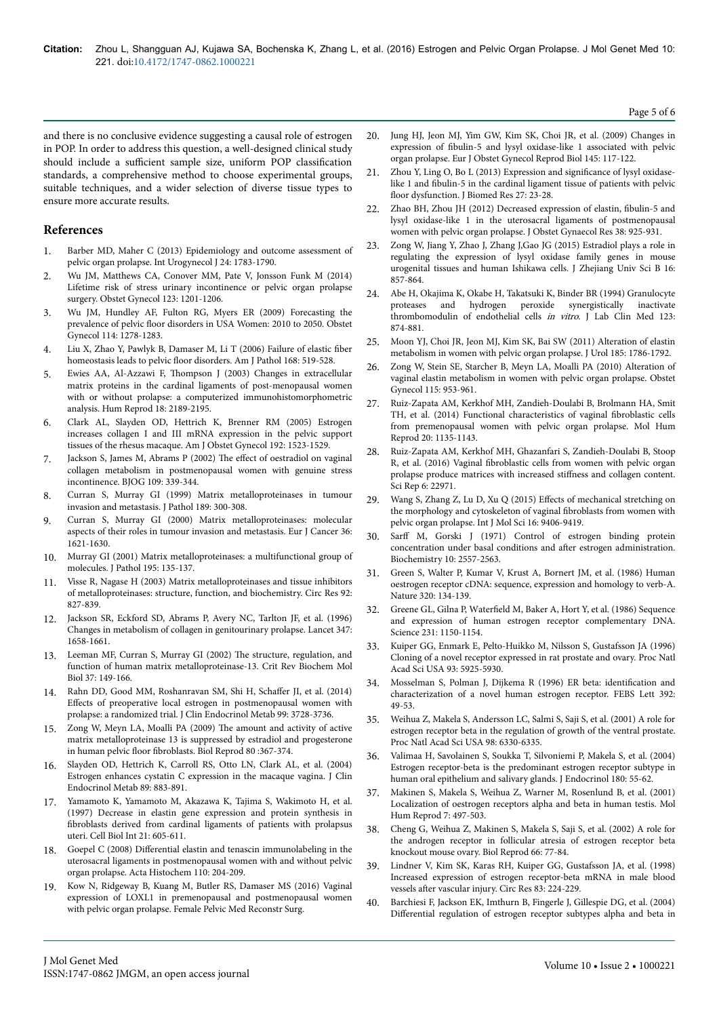and there is no conclusive evidence suggesting a causal role of estrogen in POP. In order to address this question, a well-designed clinical study should include a sufficient sample size, uniform POP classification standards, a comprehensive method to choose experimental groups, suitable techniques, and a wider selection of diverse tissue types to ensure more accurate results.

## **References**

- 1. [Barber MD, Maher C \(2013\) Epidemiology and outcome assessment of](http://www.ncbi.nlm.nih.gov/pubmed/24142054) [pelvic organ prolapse. Int Urogynecol J 24: 1783-1790.](http://www.ncbi.nlm.nih.gov/pubmed/24142054)
- 2. [Wu JM, Matthews CA, Conover MM, Pate V, Jonsson Funk M \(2014\)](http://www.ncbi.nlm.nih.gov/pubmed/24807341) [Lifetime risk of stress urinary incontinence or pelvic organ prolapse](http://www.ncbi.nlm.nih.gov/pubmed/24807341) [surgery. Obstet Gynecol 123: 1201-1206.](http://www.ncbi.nlm.nih.gov/pubmed/24807341)
- 3. [Wu JM, Hundley AF, Fulton RG, Myers ER \(2009\) Forecasting the](http://www.ncbi.nlm.nih.gov/pubmed/19935030) prevalence of pelvic floor [disorders in USA Women: 2010 to 2050. Obstet](http://www.ncbi.nlm.nih.gov/pubmed/19935030) [Gynecol 114: 1278-1283.](http://www.ncbi.nlm.nih.gov/pubmed/19935030)
- 4. [Liu X, Zhao Y, Pawlyk B, Damaser M, Li T \(2006\) Failure of elastic](http://www.ncbi.nlm.nih.gov/pubmed/16436666) fiber homeostasis leads to pelvic floor [disorders. Am J Pathol 168: 519-528.](http://www.ncbi.nlm.nih.gov/pubmed/16436666)
- 5. Ewies AA, Al-Azzawi F, Нompson [J \(2003\) Changes in extracellular](http://www.ncbi.nlm.nih.gov/pubmed/14507843) [matrix proteins in the cardinal ligaments of post-menopausal women](http://www.ncbi.nlm.nih.gov/pubmed/14507843) [with or without prolapse: a computerized immunohistomorphometric](http://www.ncbi.nlm.nih.gov/pubmed/14507843) [analysis. Hum Reprod 18: 2189-2195.](http://www.ncbi.nlm.nih.gov/pubmed/14507843)
- 6. [Clark AL, Slayden OD, Hettrich K, Brenner RM \(2005\) Estrogen](http://www.ncbi.nlm.nih.gov/pubmed/15902152) [increases collagen I and III mRNA expression in the pelvic support](http://www.ncbi.nlm.nih.gov/pubmed/15902152) [tissues of the rhesus macaque. Am J Obstet Gynecol 192: 1523-1529.](http://www.ncbi.nlm.nih.gov/pubmed/15902152)
- 7. [Jackson S, James M, Abrams P \(2002\)](http://www.ncbi.nlm.nih.gov/pubmed/11950190) The effect of oestradiol on vaginal [collagen metabolism in postmenopausal women with genuine stress](http://www.ncbi.nlm.nih.gov/pubmed/11950190) [incontinence. BJOG 109: 339-344.](http://www.ncbi.nlm.nih.gov/pubmed/11950190)
- 8. [Curran S, Murray GI \(1999\) Matrix metalloproteinases in tumour](http://www.ncbi.nlm.nih.gov/pubmed/10547590) [invasion and metastasis. J Pathol 189: 300-308.](http://www.ncbi.nlm.nih.gov/pubmed/10547590)
- 9. [Curran S, Murray GI \(2000\) Matrix metalloproteinases: molecular](http://www.ncbi.nlm.nih.gov/pubmed/10959048) [aspects of their roles in tumour invasion and metastasis. Eur J Cancer 36:](http://www.ncbi.nlm.nih.gov/pubmed/10959048) [1621-1630.](http://www.ncbi.nlm.nih.gov/pubmed/10959048)
- 10. [Murray GI \(2001\) Matrix metalloproteinases: a multifunctional group of](http://www.ncbi.nlm.nih.gov/pubmed/11592090) [molecules. J Pathol 195: 135-137.](http://www.ncbi.nlm.nih.gov/pubmed/11592090)
- 11. [Visse R, Nagase H \(2003\) Matrix metalloproteinases and tissue inhibitors](http://www.ncbi.nlm.nih.gov/pubmed/12730128) [of metalloproteinases: structure, function, and biochemistry. Circ Res 92:](http://www.ncbi.nlm.nih.gov/pubmed/12730128) [827-839.](http://www.ncbi.nlm.nih.gov/pubmed/12730128)
- 12. [Jackson SR, Eckford SD, Abrams P, Avery NC, Tarlton JF, et al. \(1996\)](http://www.sciencedirect.com/science/article/pii/S0140673696914890) [Changes in metabolism of collagen in genitourinary prolapse. Lancet 347:](http://www.sciencedirect.com/science/article/pii/S0140673696914890) [1658-1661.](http://www.sciencedirect.com/science/article/pii/S0140673696914890)
- 13. [Leeman MF, Curran S, Murray GI \(2002\)](http://www.ncbi.nlm.nih.gov/pubmed/12139441) Нe structure, regulation, and [function of human matrix metalloproteinase-13. Crit Rev Biochem Mol](http://www.ncbi.nlm.nih.gov/pubmed/12139441) [Biol 37: 149-166.](http://www.ncbi.nlm.nih.gov/pubmed/12139441)
- 14. [Rahn DD, Good MM, Roshanravan SM, Shi H,](http://www.ncbi.nlm.nih.gov/pubmed/24947034) Schaffer JI, et al. (2014) Effects [of preoperative local estrogen in postmenopausal women with](http://www.ncbi.nlm.nih.gov/pubmed/24947034) [prolapse: a randomized trial. J Clin Endocrinol Metab 99: 3728-3736.](http://www.ncbi.nlm.nih.gov/pubmed/24947034)
- 15. [Zong W, Meyn LA, Moalli PA \(2009\)](http://www.ncbi.nlm.nih.gov/pubmed/18987329) Нe amount and activity of active [matrix metalloproteinase 13 is suppressed by estradiol and progesterone](http://www.ncbi.nlm.nih.gov/pubmed/18987329) in human pelvic floor fibroblasts. [Biol Reprod 80 :367-374.](http://www.ncbi.nlm.nih.gov/pubmed/18987329)
- 16. [Slayden OD, Hettrich K, Carroll RS, Otto LN, Clark AL, et al. \(2004\)](http://www.ncbi.nlm.nih.gov/pubmed/14764809) [Estrogen enhances cystatin C expression in the macaque vagina. J Clin](http://www.ncbi.nlm.nih.gov/pubmed/14764809) [Endocrinol Metab 89: 883-891.](http://www.ncbi.nlm.nih.gov/pubmed/14764809)
- 17. [Yamamoto K, Yamamoto M, Akazawa K, Tajima S, Wakimoto H, et al.](http://www.ncbi.nlm.nih.gov/pubmed/9570896) [\(1997\) Decrease in elastin gene expression and protein synthesis in](http://www.ncbi.nlm.nih.gov/pubmed/9570896) fibroblasts [derived from cardinal ligaments of patients with prolapsus](http://www.ncbi.nlm.nih.gov/pubmed/9570896) [uteri. Cell Biol Int 21: 605-611.](http://www.ncbi.nlm.nih.gov/pubmed/9570896)
- 18. Goepel C (2008) Differential [elastin and tenascin immunolabeling in the](http://www.ncbi.nlm.nih.gov/pubmed/18155129) [uterosacral ligaments in postmenopausal women with and without pelvic](http://www.ncbi.nlm.nih.gov/pubmed/18155129) [organ prolapse. Acta Histochem 110: 204-209.](http://www.ncbi.nlm.nih.gov/pubmed/18155129)
- 19. [Kow N, Ridgeway B, Kuang M, Butler RS, Damaser MS \(2016\) Vaginal](http://www.ncbi.nlm.nih.gov/pubmed/26829347) [expression of LOXL1 in premenopausal and postmenopausal women](http://www.ncbi.nlm.nih.gov/pubmed/26829347) [with pelvic organ prolapse. Female Pelvic Med Reconstr Surg.](http://www.ncbi.nlm.nih.gov/pubmed/26829347)
- 20. [Jung HJ, Jeon MJ, Yim GW, Kim SK, Choi JR, et al. \(2009\) Changes in](http://www.ncbi.nlm.nih.gov/pubmed/19450918) expression of fibulin-5 [and lysyl oxidase-like 1 associated with pelvic](http://www.ncbi.nlm.nih.gov/pubmed/19450918) [organ prolapse. Eur J Obstet Gynecol Reprod Biol 145: 117-122.](http://www.ncbi.nlm.nih.gov/pubmed/19450918)
- Zhou Y, Ling O, [Bo L \(2013\) Expression and](http://www.ncbi.nlm.nih.gov/pubmed/23554790) significance of lysyl oxidaselike 1 and fibulin-5 [in the cardinal ligament tissue of patients with pelvic](http://www.ncbi.nlm.nih.gov/pubmed/23554790) floor [dysfunction. J Biomed Res 27: 23-28.](http://www.ncbi.nlm.nih.gov/pubmed/23554790)
- 22. [Zhao BH, Zhou JH \(2012\) Decreased expression of elastin,](http://www.ncbi.nlm.nih.gov/pubmed/22487196) fibulin-5 and [lysyl oxidase-like 1 in the uterosacral ligaments of postmenopausal](http://www.ncbi.nlm.nih.gov/pubmed/22487196) [women with pelvic organ prolapse. J Obstet Gynaecol Res 38: 925-931.](http://www.ncbi.nlm.nih.gov/pubmed/22487196)
- 23. [Zong W, Jiang Y, Zhao J, Zhang J,Gao JG \(2015\) Estradiol plays a role in](http://www.ncbi.nlm.nih.gov/pubmed/26465133) [regulating the expression of lysyl oxidase family genes in mouse](http://www.ncbi.nlm.nih.gov/pubmed/26465133) [urogenital tissues and human Ishikawa cells. J Zhejiang Univ Sci B 16:](http://www.ncbi.nlm.nih.gov/pubmed/26465133) [857-864.](http://www.ncbi.nlm.nih.gov/pubmed/26465133)
- 24. [Abe H, Okajima K, Okabe H, Takatsuki K,](http://www.ncbi.nlm.nih.gov/pubmed/8201266) Binder BR (1994) Granulocyte and hydrogen peroxide [thrombomodulin of endothelial cells](http://www.ncbi.nlm.nih.gov/pubmed/8201266) in vitro. J Lab Clin Med 123: [874-881.](http://www.ncbi.nlm.nih.gov/pubmed/8201266)
- 25. [Moon YJ, Choi JR, Jeon MJ, Kim SK, Bai SW \(2011\) Alteration of elastin](http://www.ncbi.nlm.nih.gov/pubmed/21420126) [metabolism in women with pelvic organ prolapse. J Urol 185: 1786-1792.](http://www.ncbi.nlm.nih.gov/pubmed/21420126)
- 26. [Zong W, Stein SE, Starcher B, Meyn LA, Moalli PA \(2010\) Alteration of](http://www.ncbi.nlm.nih.gov/pubmed/20410768) [vaginal elastin metabolism in women with pelvic organ prolapse. Obstet](http://www.ncbi.nlm.nih.gov/pubmed/20410768) [Gynecol 115: 953-961.](http://www.ncbi.nlm.nih.gov/pubmed/20410768)
- 27. [Ruiz-Zapata AM, Kerkhof MH, Zandieh-Doulabi B, Brolmann HA, Smit](http://www.ncbi.nlm.nih.gov/pubmed/25189765) [TH, et al. \(2014\) Functional characteristics of vaginal](http://www.ncbi.nlm.nih.gov/pubmed/25189765) fibroblastic cells [from premenopausal women with pelvic organ prolapse. Mol Hum](http://www.ncbi.nlm.nih.gov/pubmed/25189765) [Reprod 20: 1135-1143.](http://www.ncbi.nlm.nih.gov/pubmed/25189765)
- 28. [Ruiz-Zapata AM, Kerkhof MH, Ghazanfari S, Zandieh-Doulabi B, Stoop](http://www.nature.com/articles/srep22971) R, et al. (2016) Vaginal fibroblastic [cells from women with pelvic organ](http://www.nature.com/articles/srep22971) [prolapse produce matrices with increased](http://www.nature.com/articles/srep22971) stiffness and collagen content. [Sci Rep 6: 22971.](http://www.nature.com/articles/srep22971)
- 29. [Wang S, Zhang Z, Lu D, Xu Q \(2015\)](http://www.mdpi.com/1422-0067/16/5/9406) Effects of mechanical stretching on [the morphology and cytoskeleton of vaginal](http://www.mdpi.com/1422-0067/16/5/9406) fibroblasts from women with [pelvic organ prolapse. Int J Mol Sci 16: 9406-9419.](http://www.mdpi.com/1422-0067/16/5/9406)
- 30. Sarff [M, Gorski J \(1971\) Control of estrogen binding protein](http://www.ncbi.nlm.nih.gov/pubmed/5557801) [concentration under basal conditions and](http://www.ncbi.nlm.nih.gov/pubmed/5557801) after estrogen administration. [Biochemistry 10: 2557-2563.](http://www.ncbi.nlm.nih.gov/pubmed/5557801)
- 31. [Green S, Walter P, Kumar V, Krust A, Bornert JM, et al. \(1986\) Human](http://www.ncbi.nlm.nih.gov/pubmed/3754034) [oestrogen receptor cDNA: sequence, expression and homology to verb-A.](http://www.ncbi.nlm.nih.gov/pubmed/3754034) [Nature 320: 134-139.](http://www.ncbi.nlm.nih.gov/pubmed/3754034)
- 32. Greene GL, Gilna P, Waterfield [M, Baker A, Hort Y, et al. \(1986\) Sequence](http://www.ncbi.nlm.nih.gov/pubmed/3753802) [and expression of human estrogen receptor complementary DNA.](http://www.ncbi.nlm.nih.gov/pubmed/3753802) [Science 231: 1150-1154.](http://www.ncbi.nlm.nih.gov/pubmed/3753802)
- 33. [Kuiper GG, Enmark E, Pelto-Huikko M, Nilsson S, Gustafsson JA \(1996\)](http://www.ncbi.nlm.nih.gov/pmc/articles/PMC39164/) [Cloning of a novel receptor expressed in rat prostate and ovary. Proc Natl](http://www.ncbi.nlm.nih.gov/pmc/articles/PMC39164/) [Acad Sci USA 93: 5925-5930.](http://www.ncbi.nlm.nih.gov/pmc/articles/PMC39164/)
- 34. [Mosselman S, Polman J, Dijkema R \(1996\) ER beta:](http://www.ncbi.nlm.nih.gov/pubmed/8769313) identification and [characterization of a novel human estrogen receptor. FEBS Lett 392:](http://www.ncbi.nlm.nih.gov/pubmed/8769313) [49-53.](http://www.ncbi.nlm.nih.gov/pubmed/8769313)
- 35. [Weihua Z, Makela S, Andersson LC, Salmi S, Saji S, et al. \(2001\) A role for](http://www.ncbi.nlm.nih.gov/pubmed/11371645) [estrogen receptor beta in the regulation of growth of the ventral prostate.](http://www.ncbi.nlm.nih.gov/pubmed/11371645) [Proc Natl Acad Sci USA 98: 6330-6335.](http://www.ncbi.nlm.nih.gov/pubmed/11371645)
- 36. [Valimaa H, Savolainen S, Soukka T, Silvoniemi P, Makela S, et al. \(2004\)](http://www.ncbi.nlm.nih.gov/pubmed/14709144) [Estrogen receptor-beta is the predominant estrogen receptor subtype in](http://www.ncbi.nlm.nih.gov/pubmed/14709144) [human oral epithelium and salivary glands. J Endocrinol 180: 55-62.](http://www.ncbi.nlm.nih.gov/pubmed/14709144)
- 37. [Makinen S, Makela S, Weihua Z, Warner M, Rosenlund B, et al. \(2001\)](http://www.ncbi.nlm.nih.gov/pubmed/11385105) [Localization of oestrogen receptors alpha and beta in human testis. Mol](http://www.ncbi.nlm.nih.gov/pubmed/11385105) [Hum Reprod 7: 497-503.](http://www.ncbi.nlm.nih.gov/pubmed/11385105)
- 38. [Cheng G, Weihua Z, Makinen S, Makela S, Saji S, et al. \(2002\) A role for](http://www.ncbi.nlm.nih.gov/pubmed/11751267) [the androgen receptor in follicular atresia of estrogen receptor beta](http://www.ncbi.nlm.nih.gov/pubmed/11751267) [knockout mouse ovary. Biol Reprod 66: 77-84.](http://www.ncbi.nlm.nih.gov/pubmed/11751267)
- 39. [Lindner V, Kim SK, Karas RH, Kuiper GG, Gustafsson JA, et al. \(1998\)](http://www.ncbi.nlm.nih.gov/pubmed/9686763) [Increased expression of estrogen receptor-beta mRNA in male blood](http://www.ncbi.nlm.nih.gov/pubmed/9686763) vessels after [vascular injury. Circ Res 83: 224-229.](http://www.ncbi.nlm.nih.gov/pubmed/9686763)
- 40. [Barchiesi F, Jackson EK, Imthurn B, Fingerle J, Gillespie DG, et al. \(2004\)](http://www.ncbi.nlm.nih.gov/pubmed/15126566) Differential [regulation of estrogen receptor subtypes alpha and beta in](http://www.ncbi.nlm.nih.gov/pubmed/15126566)